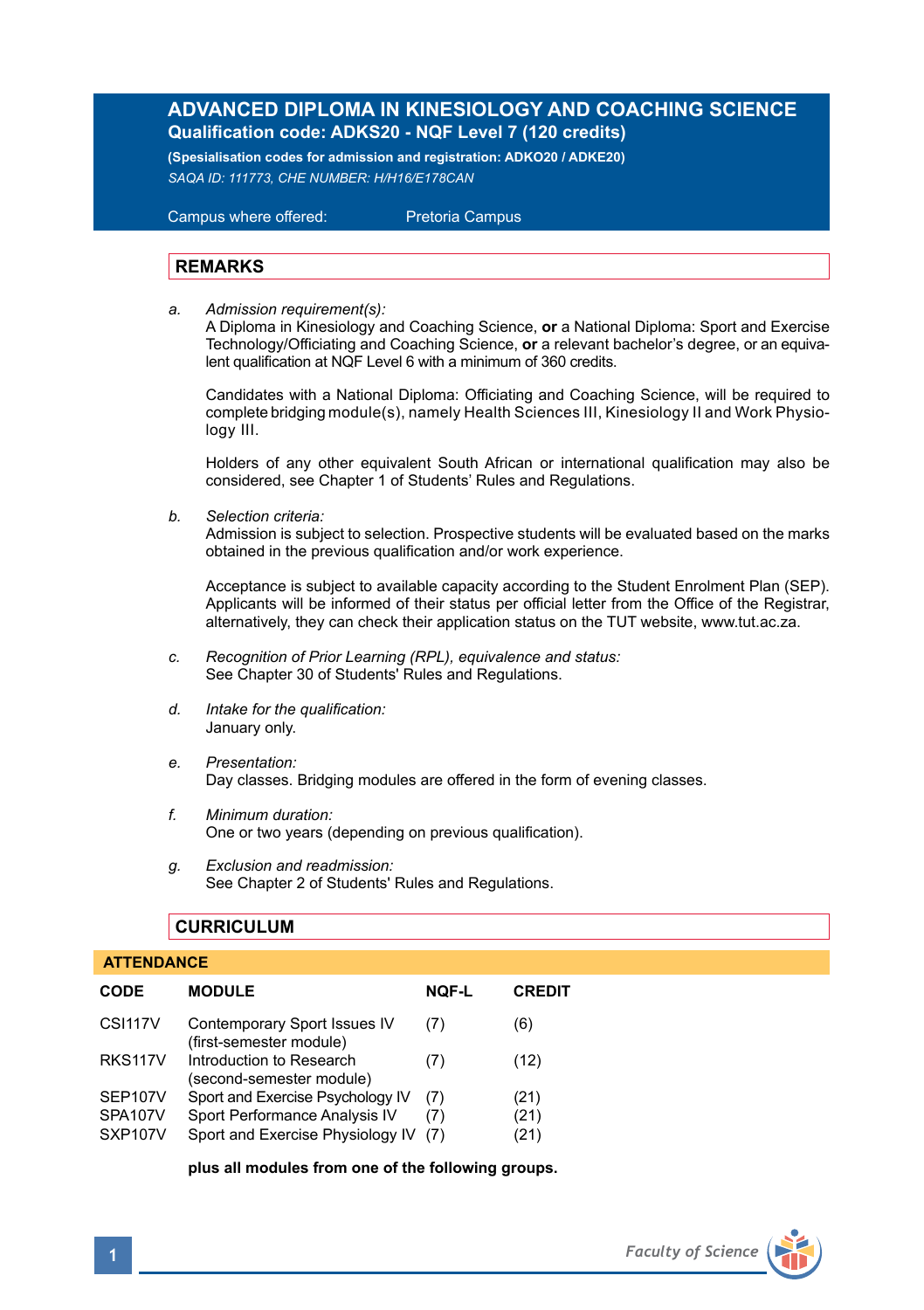# **ADVANCED DIPLOMA IN KINESIOLOGY AND COACHING SCIENCE Qualification code: ADKS20 - NQF Level 7 (120 credits)**

**(Spesialisation codes for admission and registration: ADKO20 / ADKE20)** *SAQA ID: 111773, CHE NUMBER: H/H16/E178CAN* 

 Campus where offered: Pretoria Campus

## **REMARKS**

*a. Admission requirement(s):* 

A Diploma in Kinesiology and Coaching Science, **or** a National Diploma: Sport and Exercise Technology/Officiating and Coaching Science, **or** a relevant bachelor's degree, or an equivalent qualification at NQF Level 6 with a minimum of 360 credits.

 Candidates with a National Diploma: Officiating and Coaching Science, will be required to complete bridging module(s), namely Health Sciences III, Kinesiology II and Work Physio logy III.

Holders of any other equivalent South African or international qualification may also be considered, see Chapter 1 of Students' Rules and Regulations.

*b. Selection criteria:*

Admission is subject to selection. Prospective students will be evaluated based on the marks obtained in the previous qualification and/or work experience.

Acceptance is subject to available capacity according to the Student Enrolment Plan (SEP). Applicants will be informed of their status per official letter from the Office of the Registrar, alternatively, they can check their application status on the TUT website, www.tut.ac.za.

- *c. Recognition of Prior Learning (RPL), equivalence and status:* See Chapter 30 of Students' Rules and Regulations.
- *d. Intake for the qualification:* January only.
- *e. Presentation:* Day classes. Bridging modules are offered in the form of evening classes.
- *f. Minimum duration:* One or two years (depending on previous qualification).
- *g. Exclusion and readmission:* See Chapter 2 of Students' Rules and Regulations.

## **CURRICULUM**

| <b>ATTENDANCE</b>    |                                                         |              |               |  |  |
|----------------------|---------------------------------------------------------|--------------|---------------|--|--|
| <b>CODE</b>          | <b>MODULE</b>                                           | <b>NOF-L</b> | <b>CREDIT</b> |  |  |
| CSI <sub>117</sub> V | Contemporary Sport Issues IV<br>(first-semester module) | (7)          | (6)           |  |  |
| <b>RKS117V</b>       | Introduction to Research<br>(second-semester module)    | (7)          | (12)          |  |  |
| SEP107V              | Sport and Exercise Psychology IV                        | (7)          | (21)          |  |  |
| SPA107V              | Sport Performance Analysis IV                           | (7)          | (21)          |  |  |
| SXP <sub>107</sub> V | Sport and Exercise Physiology IV                        | (7)          | (21)          |  |  |

**plus all modules from one of the following groups.** 

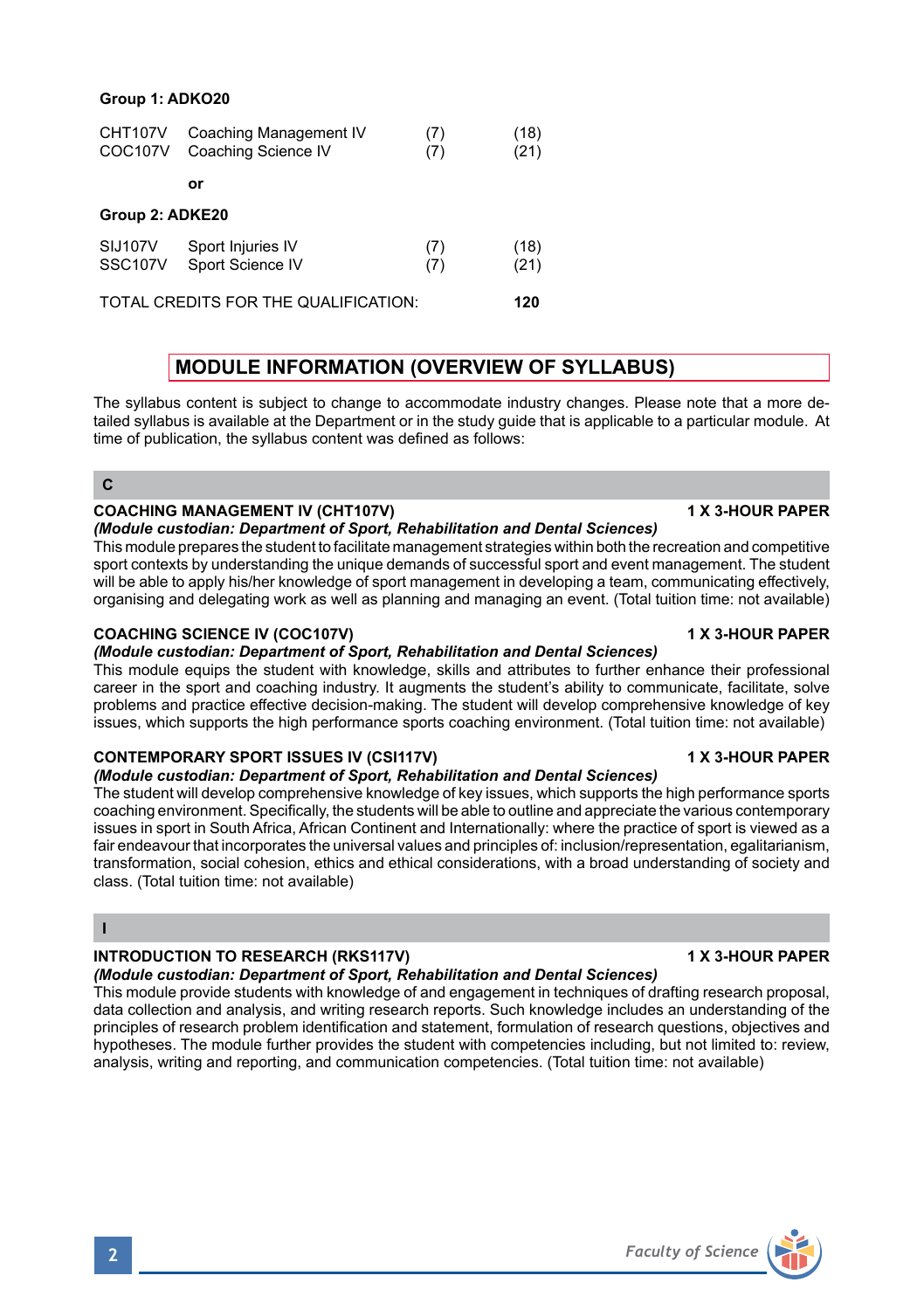### **Group 1: ADKO20**

| CHT107V<br><b>COC107V</b>            | Coaching Management IV<br>Coaching Science IV | (7)<br>(7) | (18)<br>(21) |  |  |  |
|--------------------------------------|-----------------------------------------------|------------|--------------|--|--|--|
|                                      | or                                            |            |              |  |  |  |
| Group 2: ADKE20                      |                                               |            |              |  |  |  |
| SIJ107V<br>SSC107V                   | Sport Injuries IV<br>Sport Science IV         | (7)<br>(7) | (18)<br>(21) |  |  |  |
| TOTAL CREDITS FOR THE QUALIFICATION: |                                               |            |              |  |  |  |

# **MODULE INFORMATION (OVERVIEW OF SYLLABUS)**

The syllabus content is subject to change to accommodate industry changes. Please note that a more detailed syllabus is available at the Department or in the study guide that is applicable to a particular module. At time of publication, the syllabus content was defined as follows:

#### **C**

### **COACHING MANAGEMENT IV (CHT107V) 1 ACCORD 2 2 3 YOUR PAPER**

## *(Module custodian: Department of Sport, Rehabilitation and Dental Sciences)*

This module prepares the student to facilitate management strategies within both the recreation and competitive sport contexts by understanding the unique demands of successful sport and event management. The student will be able to apply his/her knowledge of sport management in developing a team, communicating effectively, organising and delegating work as well as planning and managing an event. (Total tuition time: not available)

### **COACHING SCIENCE IV (COC107V) 1 X 3-HOUR PAPER**

## *(Module custodian: Department of Sport, Rehabilitation and Dental Sciences)*

This module equips the student with knowledge, skills and attributes to further enhance their professional career in the sport and coaching industry. It augments the student's ability to communicate, facilitate, solve problems and practice effective decision-making. The student will develop comprehensive knowledge of key issues, which supports the high performance sports coaching environment. (Total tuition time: not available)

## **CONTEMPORARY SPORT ISSUES IV (CSI117V) 1 X 3-HOUR PAPER**

### *(Module custodian: Department of Sport, Rehabilitation and Dental Sciences)*

The student will develop comprehensive knowledge of key issues, which supports the high performance sports coaching environment. Specifically, the students will be able to outline and appreciate the various contemporary issues in sport in South Africa, African Continent and Internationally: where the practice of sport is viewed as a fair endeavour that incorporates the universal values and principles of: inclusion/representation, egalitarianism, transformation, social cohesion, ethics and ethical considerations, with a broad understanding of society and class. (Total tuition time: not available)

# **I**

# **INTRODUCTION TO RESEARCH (RKS117V)** 1 1 X 3-HOUR PAPER

## *(Module custodian: Department of Sport, Rehabilitation and Dental Sciences)*

This module provide students with knowledge of and engagement in techniques of drafting research proposal, data collection and analysis, and writing research reports. Such knowledge includes an understanding of the principles of research problem identification and statement, formulation of research questions, objectives and hypotheses. The module further provides the student with competencies including, but not limited to: review, analysis, writing and reporting, and communication competencies. (Total tuition time: not available)